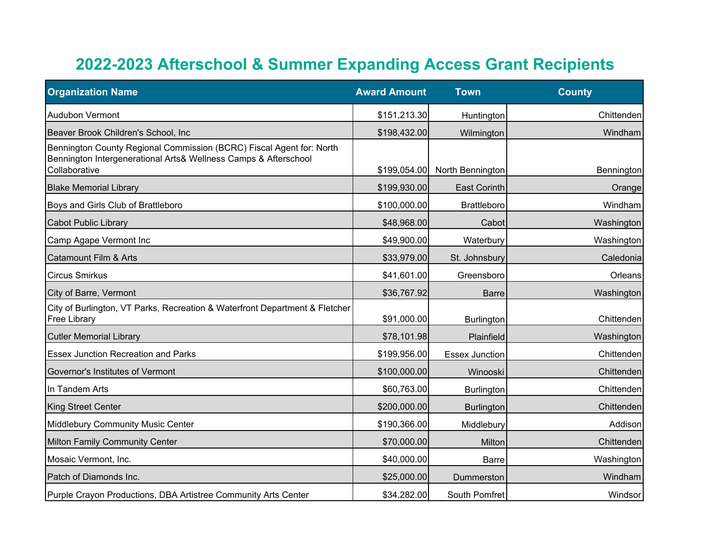## **2022-2023 Afterschool & Summer Expanding Access Grant Recipients**

| <b>Organization Name</b>                                                                                                                                 | <b>Award Amount</b> | <b>Town</b>           | <b>County</b>     |
|----------------------------------------------------------------------------------------------------------------------------------------------------------|---------------------|-----------------------|-------------------|
| <b>Audubon Vermont</b>                                                                                                                                   | \$151,213.30        | Huntington            | Chittenden        |
| Beaver Brook Children's School, Inc.                                                                                                                     | \$198,432.00        | Wilmington            | Windham           |
| Bennington County Regional Commission (BCRC) Fiscal Agent for: North<br>Bennington Intergenerational Arts& Wellness Camps & Afterschool<br>Collaborative | \$199,054.00        | North Bennington      | <b>Bennington</b> |
| <b>Blake Memorial Library</b>                                                                                                                            | \$199,930.00        | <b>East Corinth</b>   | Orange            |
| Boys and Girls Club of Brattleboro                                                                                                                       | \$100,000.00        | <b>Brattleboro</b>    | Windham           |
| <b>Cabot Public Library</b>                                                                                                                              | \$48,968.00         | Cabot                 | Washington        |
| Camp Agape Vermont Inc                                                                                                                                   | \$49,900.00         | Waterbury             | Washington        |
| Catamount Film & Arts                                                                                                                                    | \$33,979.00         | St. Johnsbury         | Caledonia         |
| <b>Circus Smirkus</b>                                                                                                                                    | \$41,601.00         | Greensboro            | Orleans           |
| City of Barre, Vermont                                                                                                                                   | \$36,767.92         | <b>Barre</b>          | Washington        |
| City of Burlington, VT Parks, Recreation & Waterfront Department & Fletcher<br><b>Free Library</b>                                                       | \$91,000.00         | Burlington            | Chittenden        |
| <b>Cutler Memorial Library</b>                                                                                                                           | \$78,101.98         | Plainfield            | Washington        |
| <b>Essex Junction Recreation and Parks</b>                                                                                                               | \$199,956.00        | <b>Essex Junction</b> | Chittenden        |
| Governor's Institutes of Vermont                                                                                                                         | \$100,000.00        | Winooski              | Chittenden        |
| In Tandem Arts                                                                                                                                           | \$60,763.00         | <b>Burlington</b>     | Chittenden        |
| <b>King Street Center</b>                                                                                                                                | \$200,000.00        | <b>Burlington</b>     | Chittenden        |
| Middlebury Community Music Center                                                                                                                        | \$190,366.00        | Middlebury            | Addison           |
| Milton Family Community Center                                                                                                                           | \$70,000.00         | Milton                | Chittenden        |
| Mosaic Vermont, Inc.                                                                                                                                     | \$40,000.00         | <b>Barre</b>          | Washington        |
| Patch of Diamonds Inc.                                                                                                                                   | \$25,000.00         | Dummerston            | Windham           |
| Purple Crayon Productions, DBA Artistree Community Arts Center                                                                                           | \$34,282.00         | South Pomfret         | Windsor           |